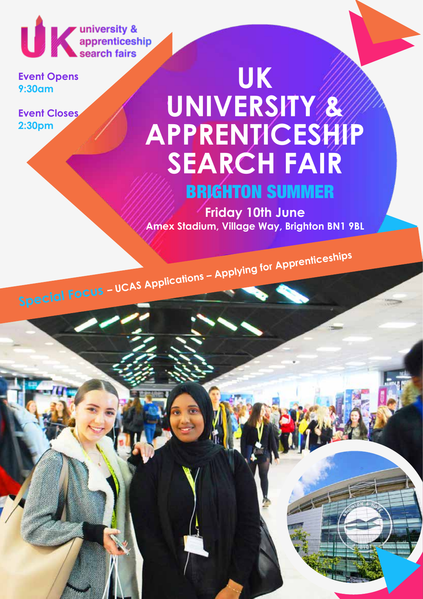UK university &

**Event Opens 9:30am**

**Event Closes 2:30pm**

# **UK UNIVERSITY & APPRENTICESHIP SEARCH FAIR**

BRIGHTON SUMMER

**Friday 10th June Amex Stadium, Village Way, Brighton BN1 9BL**

**Special Focus – UCAS Applications – Applying for Apprenticeships**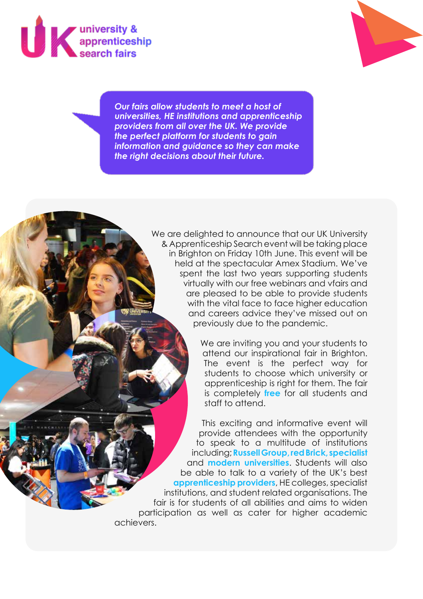



*Our fairs allow students to meet a host of universities, HE institutions and apprenticeship providers from all over the UK. We provide the perfect platform for students to gain information and guidance so they can make the right decisions about their future.*

> We are delighted to announce that our UK University & Apprenticeship Search event will be taking place in Brighton on Friday 10th June. This event will be held at the spectacular Amex Stadium. We've spent the last two years supporting students virtually with our free webinars and vfairs and are pleased to be able to provide students with the vital face to face higher education and careers advice they've missed out on previously due to the pandemic.

> > We are inviting you and your students to attend our inspirational fair in Brighton. The event is the perfect way for students to choose which university or apprenticeship is right for them. The fair is completely **free** for all students and staff to attend.

This exciting and informative event will provide attendees with the opportunity to speak to a multitude of institutions including; **Russell Group, red Brick, specialist** and **modern universities**. Students will also be able to talk to a variety of the UK's best **apprenticeship providers**, HE colleges, specialist institutions, and student related organisations. The fair is for students of all abilities and aims to widen participation as well as cater for higher academic achievers.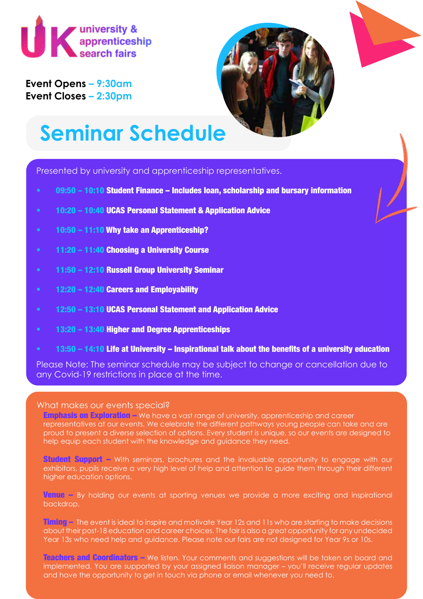

**Event Opens – 9:30am Event Closes – 2:30pm**



## **Seminar Schedule**

Presented by university and apprenticeship representatives.

- 09:50 10:10 Student Finance Includes loan, scholarship and bursary information
- 10:20 10:40 UCAS Personal Statement & Application Advice
- 10:50 11:10 Why take an Apprenticeship?
- 11:20 11:40 Choosing a University Course
- 11:50 12:10 Russell Group University Seminar
- 12:20 12:40 Careers and Employability
- 12:50 13:10 UCAS Personal Statement and Application Advice
- 13:20 13:40 Higher and Degree Apprenticeships
- 13:50 14:10 Life at University Inspirational talk about the benefits of a university education

Please Note: The seminar schedule may be subject to change or cancellation due to any Covid-19 restrictions in place at the time.

### What makes our events special?

Emphasis on Exploration – We have a vast range of university, apprenticeship and career representatives at our events. We celebrate the different pathways young people can take and are proud to present a diverse selection of options. Every student is unique, so our events are designed to help equip each student with the knowledge and guidance they need.

**Student Support –** With seminars, brochures and the invaluable opportunity to engage with our exhibitors, pupils receive a very high level of help and attention to guide them through their different higher education options.

Venue – By holding our events at sporting venues we provide a more exciting and inspirational backdrop.

Timing – The event is ideal to inspire and motivate Year 12s and 11s who are starting to make decisions about their post-18 education and career choices. The fair is also a great opportunity for any undecided Year 13s who need help and guidance. Please note our fairs are not designed for Year 9s or 10s.

Teachers and Coordinators – We listen. Your comments and suggestions will be taken on board and implemented. You are supported by your assigned liaison manager – you'll receive regular updates and have the opportunity to get in touch via phone or email whenever you need to.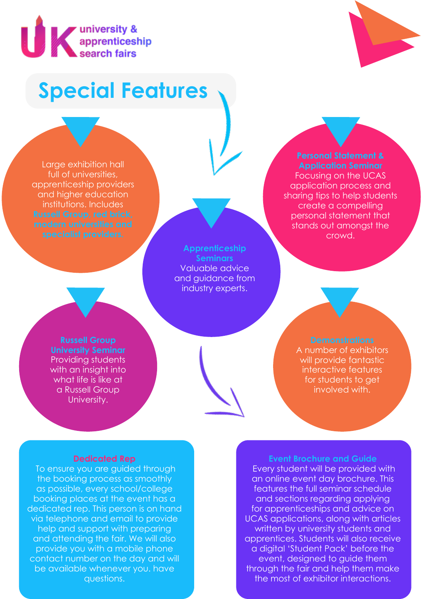

## **Special Features**

Large exhibition hall full of universities, apprenticeship providers and higher education institutions. Includes

> **Apprenticeship Seminars** Valuable advice and guidance from industry experts.

## **Application Seminar**

Focusing on the UCAS application process and sharing tips to help students create a compelling personal statement that stands out amongst the crowd.

**Russell Group University Seminar** Providing students with an insight into what life is like at a Russell Group University.

A number of exhibitors will provide fantastic interactive features for students to get involved with.

### **Dedicated Rep**

 To ensure you are guided through the booking process as smoothly as possible, every school/college booking places at the event has a dedicated rep. This person is on hand via telephone and email to provide help and support with preparing and attending the fair. We will also provide you with a mobile phone contact number on the day and will be available whenever you. have questions.

### **Event Brochure and Guide**

 Every student will be provided with an online event day brochure. This features the full seminar schedule and sections regarding applying for apprenticeships and advice on UCAS applications, along with articles written by university students and apprentices. Students will also receive a digital 'Student Pack' before the event, designed to guide them through the fair and help them make the most of exhibitor interactions.